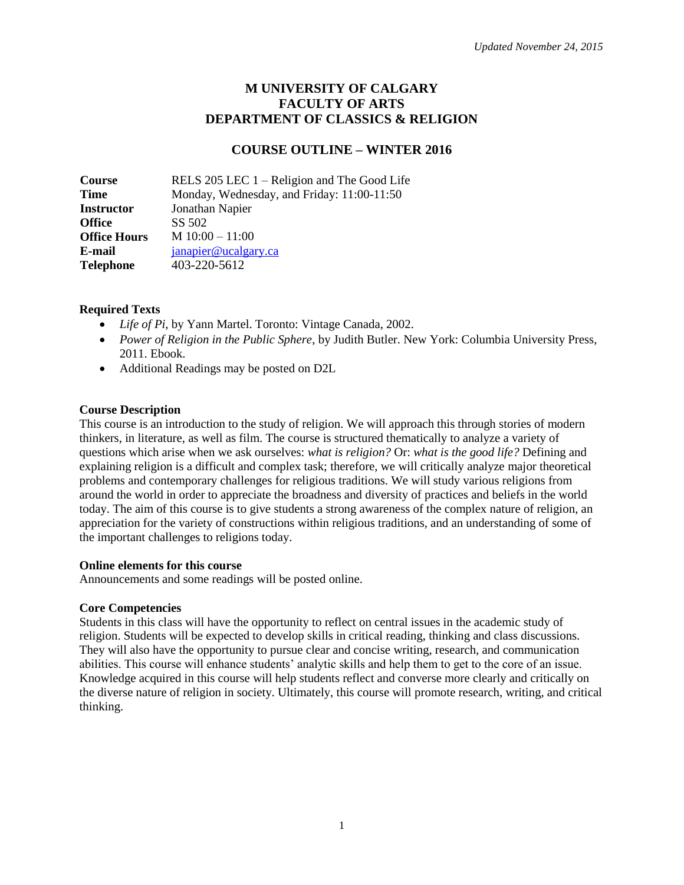# **M UNIVERSITY OF CALGARY FACULTY OF ARTS DEPARTMENT OF CLASSICS & RELIGION**

# **COURSE OUTLINE – WINTER 2016**

**Course** RELS 205 LEC 1 – Religion and The Good Life **Time** Monday, Wednesday, and Friday: 11:00-11:50 **Instructor** Jonathan Napier **Office** SS 502 **Office Hours** M 10:00 – 11:00 **E-mail [janapier@ucalgary.ca](mailto:janapier@ucalgary.ca)**<br> **Telephone** 403-220-5612 **Telephone** 403-220-5612

#### **Required Texts**

- *Life of Pi*, by Yann Martel. Toronto: Vintage Canada, 2002.
- *Power of Religion in the Public Sphere*, by Judith Butler. New York: Columbia University Press, 2011. Ebook.
- Additional Readings may be posted on D2L

#### **Course Description**

This course is an introduction to the study of religion. We will approach this through stories of modern thinkers, in literature, as well as film. The course is structured thematically to analyze a variety of questions which arise when we ask ourselves: *what is religion?* Or: *what is the good life?* Defining and explaining religion is a difficult and complex task; therefore, we will critically analyze major theoretical problems and contemporary challenges for religious traditions. We will study various religions from around the world in order to appreciate the broadness and diversity of practices and beliefs in the world today. The aim of this course is to give students a strong awareness of the complex nature of religion, an appreciation for the variety of constructions within religious traditions, and an understanding of some of the important challenges to religions today.

#### **Online elements for this course**

Announcements and some readings will be posted online.

#### **Core Competencies**

Students in this class will have the opportunity to reflect on central issues in the academic study of religion. Students will be expected to develop skills in critical reading, thinking and class discussions. They will also have the opportunity to pursue clear and concise writing, research, and communication abilities. This course will enhance students' analytic skills and help them to get to the core of an issue. Knowledge acquired in this course will help students reflect and converse more clearly and critically on the diverse nature of religion in society. Ultimately, this course will promote research, writing, and critical thinking.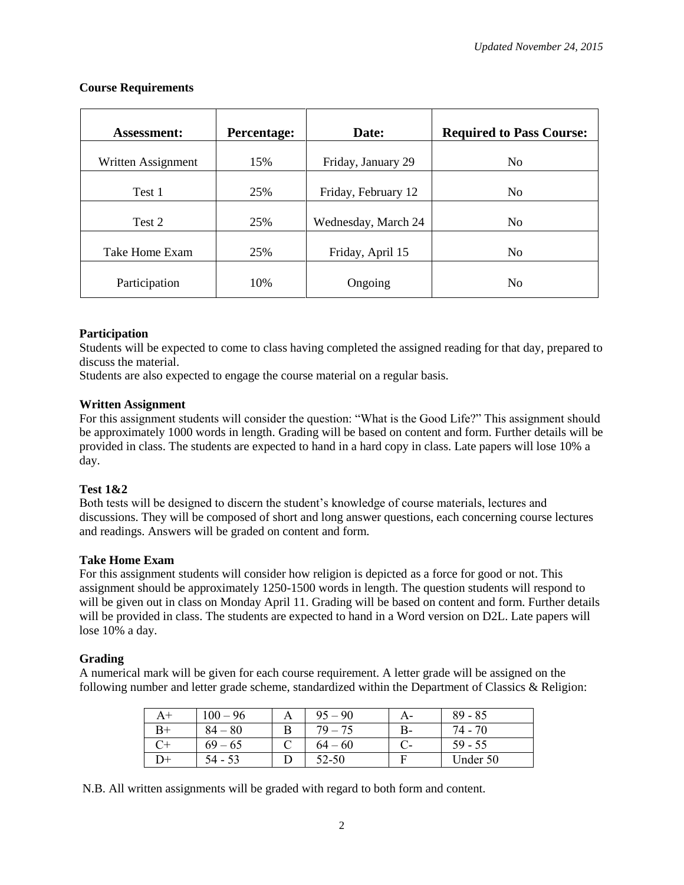| <b>Assessment:</b> | Percentage: | Date:               | <b>Required to Pass Course:</b> |
|--------------------|-------------|---------------------|---------------------------------|
| Written Assignment | 15%         | Friday, January 29  | N <sub>0</sub>                  |
| Test 1             | 25%         | Friday, February 12 | N <sub>0</sub>                  |
| Test 2             | 25%         | Wednesday, March 24 | N <sub>0</sub>                  |
| Take Home Exam     | 25%         | Friday, April 15    | N <sub>0</sub>                  |
| Participation      | 10%         | Ongoing             | N <sub>0</sub>                  |

### **Course Requirements**

### **Participation**

Students will be expected to come to class having completed the assigned reading for that day, prepared to discuss the material.

Students are also expected to engage the course material on a regular basis.

#### **Written Assignment**

For this assignment students will consider the question: "What is the Good Life?" This assignment should be approximately 1000 words in length. Grading will be based on content and form. Further details will be provided in class. The students are expected to hand in a hard copy in class. Late papers will lose 10% a day.

## **Test 1&2**

Both tests will be designed to discern the student's knowledge of course materials, lectures and discussions. They will be composed of short and long answer questions, each concerning course lectures and readings. Answers will be graded on content and form.

## **Take Home Exam**

For this assignment students will consider how religion is depicted as a force for good or not. This assignment should be approximately 1250-1500 words in length. The question students will respond to will be given out in class on Monday April 11. Grading will be based on content and form. Further details will be provided in class. The students are expected to hand in a Word version on D2L. Late papers will lose 10% a day.

#### **Grading**

A numerical mark will be given for each course requirement. A letter grade will be assigned on the following number and letter grade scheme, standardized within the Department of Classics & Religion:

| A+ | $100 - 96$ | $95 - 90$ | A- | $89 - 85$ |
|----|------------|-----------|----|-----------|
|    | $84 - 80$  | $79 - 75$ | B- | 74 - 70   |
|    | $69 - 65$  | $64 - 60$ |    | $59 - 55$ |
| )+ | 54 - 53    | 52-50     |    | Under 50  |

N.B. All written assignments will be graded with regard to both form and content.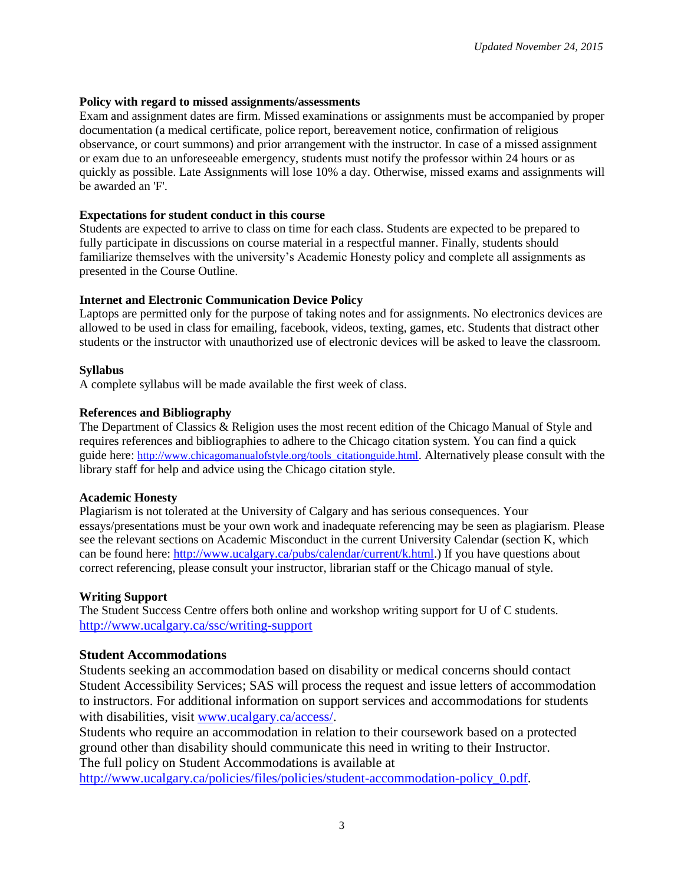### **Policy with regard to missed assignments/assessments**

Exam and assignment dates are firm. Missed examinations or assignments must be accompanied by proper documentation (a medical certificate, police report, bereavement notice, confirmation of religious observance, or court summons) and prior arrangement with the instructor. In case of a missed assignment or exam due to an unforeseeable emergency, students must notify the professor within 24 hours or as quickly as possible. Late Assignments will lose 10% a day. Otherwise, missed exams and assignments will be awarded an 'F'.

### **Expectations for student conduct in this course**

Students are expected to arrive to class on time for each class. Students are expected to be prepared to fully participate in discussions on course material in a respectful manner. Finally, students should familiarize themselves with the university's Academic Honesty policy and complete all assignments as presented in the Course Outline.

### **Internet and Electronic Communication Device Policy**

Laptops are permitted only for the purpose of taking notes and for assignments. No electronics devices are allowed to be used in class for emailing, facebook, videos, texting, games, etc. Students that distract other students or the instructor with unauthorized use of electronic devices will be asked to leave the classroom.

### **Syllabus**

A complete syllabus will be made available the first week of class.

### **References and Bibliography**

The Department of Classics & Religion uses the most recent edition of the Chicago Manual of Style and requires references and bibliographies to adhere to the Chicago citation system. You can find a quick guide here: [http://www.chicagomanualofstyle.org/tools\\_citationguide.html](http://www.chicagomanualofstyle.org/tools_citationguide.html). Alternatively please consult with the library staff for help and advice using the Chicago citation style.

## **Academic Honesty**

Plagiarism is not tolerated at the University of Calgary and has serious consequences. Your essays/presentations must be your own work and inadequate referencing may be seen as plagiarism. Please see the relevant sections on Academic Misconduct in the current University Calendar (section K, which can be found here: [http://www.ucalgary.ca/pubs/calendar/current/k.html.](http://www.ucalgary.ca/pubs/calendar/current/k.html)) If you have questions about correct referencing, please consult your instructor, librarian staff or the Chicago manual of style.

## **Writing Support**

The Student Success Centre offers both online and workshop writing support for U of C students. <http://www.ucalgary.ca/ssc/writing-support>

## **Student Accommodations**

Students seeking an accommodation based on disability or medical concerns should contact Student Accessibility Services; SAS will process the request and issue letters of accommodation to instructors. For additional information on support services and accommodations for students with disabilities, visit [www.ucalgary.ca/access/.](http://www.ucalgary.ca/access/)

Students who require an accommodation in relation to their coursework based on a protected ground other than disability should communicate this need in writing to their Instructor. The full policy on Student Accommodations is available at

[http://www.ucalgary.ca/policies/files/policies/student-accommodation-policy\\_0.pdf.](http://www.ucalgary.ca/policies/files/policies/student-accommodation-policy_0.pdf)